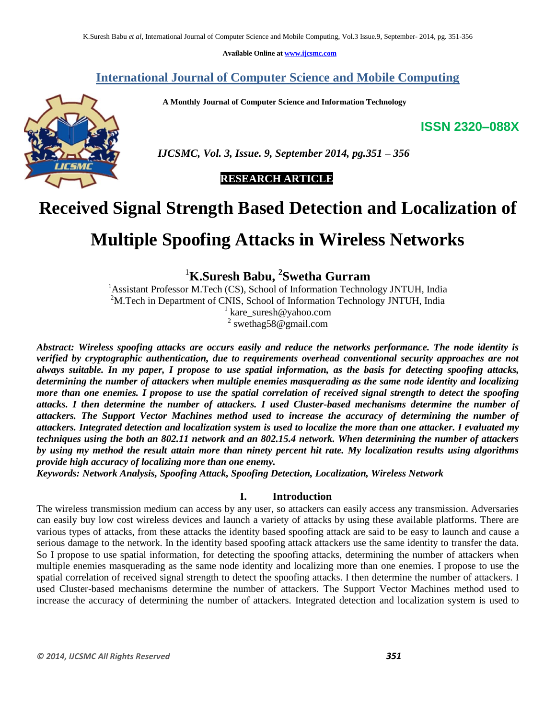**Available Online at www.ijcsmc.com**

# **International Journal of Computer Science and Mobile Computing**

 **A Monthly Journal of Computer Science and Information Technology**

**ISSN 2320–088X**



 *IJCSMC, Vol. 3, Issue. 9, September 2014, pg.351 – 356*

 **RESEARCH ARTICLE**

# **Received Signal Strength Based Detection and Localization of**

# **Multiple Spoofing Attacks in Wireless Networks**

<sup>1</sup>**K.Suresh Babu, 2 Swetha Gurram**

<sup>1</sup>Assistant Professor M.Tech (CS), School of Information Technology JNTUH, India <sup>2</sup>M.Tech in Department of CNIS, School of Information Technology JNTUH, India

<sup>1</sup> kare\_suresh@yahoo.com <sup>2</sup> swethag58@gmail.com

*Abstract: Wireless spoofing attacks are occurs easily and reduce the networks performance. The node identity is verified by cryptographic authentication, due to requirements overhead conventional security approaches are not always suitable. In my paper, I propose to use spatial information, as the basis for detecting spoofing attacks, determining the number of attackers when multiple enemies masquerading as the same node identity and localizing more than one enemies. I propose to use the spatial correlation of received signal strength to detect the spoofing attacks. I then determine the number of attackers. I used Cluster-based mechanisms determine the number of attackers. The Support Vector Machines method used to increase the accuracy of determining the number of attackers. Integrated detection and localization system is used to localize the more than one attacker. I evaluated my techniques using the both an 802.11 network and an 802.15.4 network. When determining the number of attackers by using my method the result attain more than ninety percent hit rate. My localization results using algorithms provide high accuracy of localizing more than one enemy.*

*Keywords: Network Analysis, Spoofing Attack, Spoofing Detection, Localization, Wireless Network*

#### **I. Introduction**

The wireless transmission medium can access by any user, so attackers can easily access any transmission. Adversaries can easily buy low cost wireless devices and launch a variety of attacks by using these available platforms. There are various types of attacks, from these attacks the identity based spoofing attack are said to be easy to launch and cause a serious damage to the network. In the identity based spoofing attack attackers use the same identity to transfer the data. So I propose to use spatial information, for detecting the spoofing attacks, determining the number of attackers when multiple enemies masquerading as the same node identity and localizing more than one enemies. I propose to use the spatial correlation of received signal strength to detect the spoofing attacks. I then determine the number of attackers. I used Cluster-based mechanisms determine the number of attackers. The Support Vector Machines method used to increase the accuracy of determining the number of attackers. Integrated detection and localization system is used to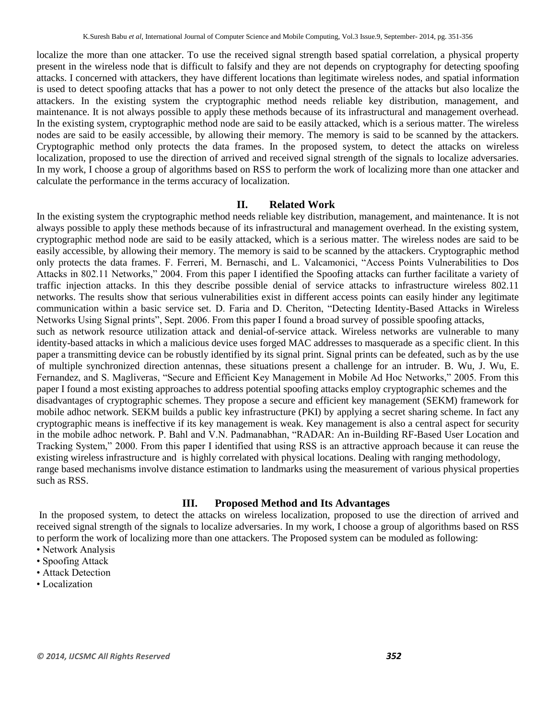localize the more than one attacker. To use the received signal strength based spatial correlation, a physical property present in the wireless node that is difficult to falsify and they are not depends on cryptography for detecting spoofing attacks. I concerned with attackers, they have different locations than legitimate wireless nodes, and spatial information is used to detect spoofing attacks that has a power to not only detect the presence of the attacks but also localize the attackers. In the existing system the cryptographic method needs reliable key distribution, management, and maintenance. It is not always possible to apply these methods because of its infrastructural and management overhead. In the existing system, cryptographic method node are said to be easily attacked, which is a serious matter. The wireless nodes are said to be easily accessible, by allowing their memory. The memory is said to be scanned by the attackers. Cryptographic method only protects the data frames. In the proposed system, to detect the attacks on wireless localization, proposed to use the direction of arrived and received signal strength of the signals to localize adversaries. In my work, I choose a group of algorithms based on RSS to perform the work of localizing more than one attacker and calculate the performance in the terms accuracy of localization.

### **II. Related Work**

In the existing system the cryptographic method needs reliable key distribution, management, and maintenance. It is not always possible to apply these methods because of its infrastructural and management overhead. In the existing system, cryptographic method node are said to be easily attacked, which is a serious matter. The wireless nodes are said to be easily accessible, by allowing their memory. The memory is said to be scanned by the attackers. Cryptographic method only protects the data frames. F. Ferreri, M. Bernaschi, and L. Valcamonici, "Access Points Vulnerabilities to Dos Attacks in 802.11 Networks," 2004. From this paper I identified the Spoofing attacks can further facilitate a variety of traffic injection attacks. In this they describe possible denial of service attacks to infrastructure wireless 802.11 networks. The results show that serious vulnerabilities exist in different access points can easily hinder any legitimate communication within a basic service set. D. Faria and D. Cheriton, "Detecting Identity-Based Attacks in Wireless Networks Using Signal prints", Sept. 2006. From this paper I found a broad survey of possible spoofing attacks, such as network resource utilization attack and denial-of-service attack. Wireless networks are vulnerable to many identity-based attacks in which a malicious device uses forged MAC addresses to masquerade as a specific client. In this paper a transmitting device can be robustly identified by its signal print. Signal prints can be defeated, such as by the use of multiple synchronized direction antennas, these situations present a challenge for an intruder. B. Wu, J. Wu, E. Fernandez, and S. Magliveras, "Secure and Efficient Key Management in Mobile Ad Hoc Networks," 2005. From this paper I found a most existing approaches to address potential spoofing attacks employ cryptographic schemes and the disadvantages of cryptographic schemes. They propose a secure and efficient key management (SEKM) framework for mobile adhoc network. SEKM builds a public key infrastructure (PKI) by applying a secret sharing scheme. In fact any cryptographic means is ineffective if its key management is weak. Key management is also a central aspect for security in the mobile adhoc network. P. Bahl and V.N. Padmanabhan, "RADAR: An in-Building RF-Based User Location and Tracking System," 2000. From this paper I identified that using RSS is an attractive approach because it can reuse the existing wireless infrastructure and is highly correlated with physical locations. Dealing with ranging methodology,

range based mechanisms involve distance estimation to landmarks using the measurement of various physical properties such as RSS.

## **III. Proposed Method and Its Advantages**

In the proposed system, to detect the attacks on wireless localization, proposed to use the direction of arrived and received signal strength of the signals to localize adversaries. In my work, I choose a group of algorithms based on RSS to perform the work of localizing more than one attackers. The Proposed system can be moduled as following:

- Network Analysis
- Spoofing Attack
- Attack Detection
- Localization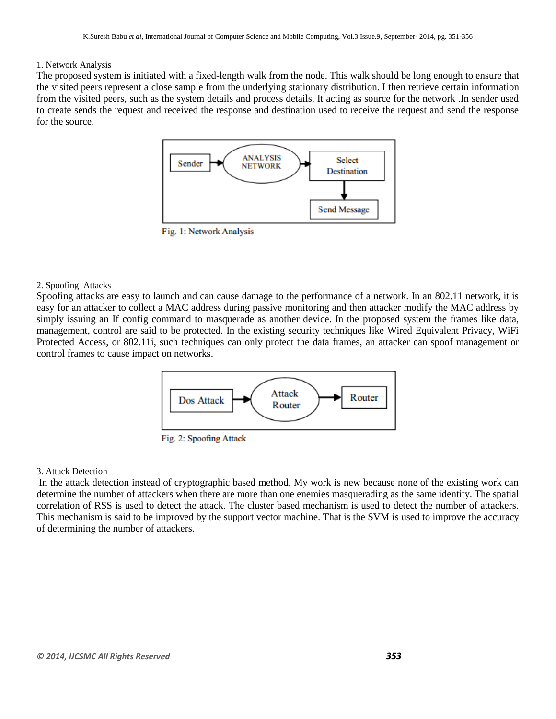#### 1. Network Analysis

The proposed system is initiated with a fixed-length walk from the node. This walk should be long enough to ensure that the visited peers represent a close sample from the underlying stationary distribution. I then retrieve certain information from the visited peers, such as the system details and process details. It acting as source for the network .In sender used to create sends the request and received the response and destination used to receive the request and send the response for the source.



Fig. 1: Network Analysis

#### 2. Spoofing Attacks

Spoofing attacks are easy to launch and can cause damage to the performance of a network. In an 802.11 network, it is easy for an attacker to collect a MAC address during passive monitoring and then attacker modify the MAC address by simply issuing an If config command to masquerade as another device. In the proposed system the frames like data, management, control are said to be protected. In the existing security techniques like Wired Equivalent Privacy, WiFi Protected Access, or 802.11i, such techniques can only protect the data frames, an attacker can spoof management or control frames to cause impact on networks.



Fig. 2: Spoofing Attack

#### 3. Attack Detection

In the attack detection instead of cryptographic based method, My work is new because none of the existing work can determine the number of attackers when there are more than one enemies masquerading as the same identity. The spatial correlation of RSS is used to detect the attack. The cluster based mechanism is used to detect the number of attackers. This mechanism is said to be improved by the support vector machine. That is the SVM is used to improve the accuracy of determining the number of attackers.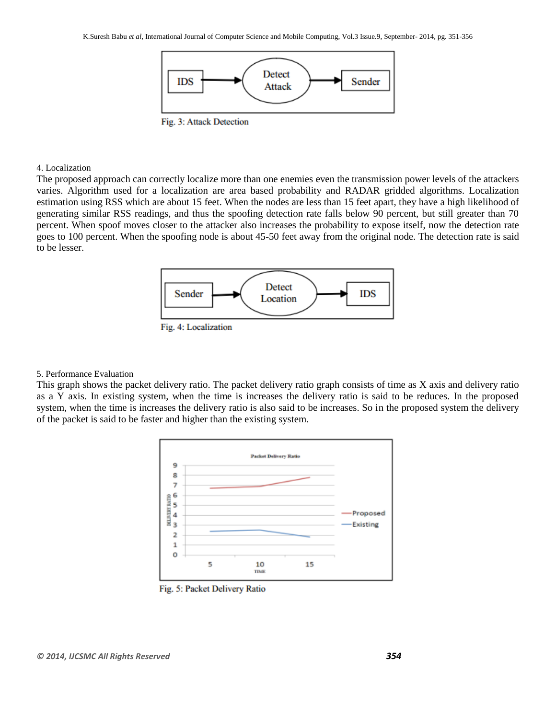

Fig. 3: Attack Detection

#### 4. Localization

The proposed approach can correctly localize more than one enemies even the transmission power levels of the attackers varies. Algorithm used for a localization are area based probability and RADAR gridded algorithms. Localization estimation using RSS which are about 15 feet. When the nodes are less than 15 feet apart, they have a high likelihood of generating similar RSS readings, and thus the spoofing detection rate falls below 90 percent, but still greater than 70 percent. When spoof moves closer to the attacker also increases the probability to expose itself, now the detection rate goes to 100 percent. When the spoofing node is about 45-50 feet away from the original node. The detection rate is said to be lesser.



#### 5. Performance Evaluation

This graph shows the packet delivery ratio. The packet delivery ratio graph consists of time as X axis and delivery ratio as a Y axis. In existing system, when the time is increases the delivery ratio is said to be reduces. In the proposed system, when the time is increases the delivery ratio is also said to be increases. So in the proposed system the delivery of the packet is said to be faster and higher than the existing system.



Fig. 5: Packet Delivery Ratio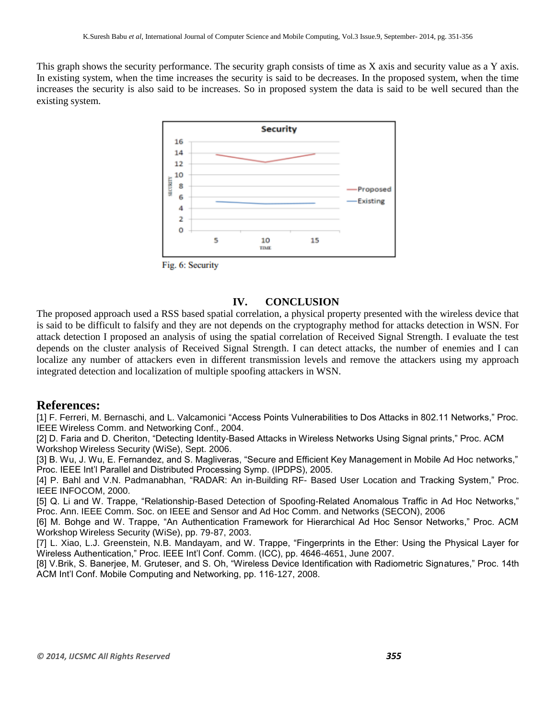This graph shows the security performance. The security graph consists of time as X axis and security value as a Y axis. In existing system, when the time increases the security is said to be decreases. In the proposed system, when the time increases the security is also said to be increases. So in proposed system the data is said to be well secured than the existing system.



Fig. 6: Security

# **IV. CONCLUSION**

The proposed approach used a RSS based spatial correlation, a physical property presented with the wireless device that is said to be difficult to falsify and they are not depends on the cryptography method for attacks detection in WSN. For attack detection I proposed an analysis of using the spatial correlation of Received Signal Strength. I evaluate the test depends on the cluster analysis of Received Signal Strength. I can detect attacks, the number of enemies and I can localize any number of attackers even in different transmission levels and remove the attackers using my approach integrated detection and localization of multiple spoofing attackers in WSN.

### **References:**

[1] F. Ferreri, M. Bernaschi, and L. Valcamonici "Access Points Vulnerabilities to Dos Attacks in 802.11 Networks," Proc. IEEE Wireless Comm. and Networking Conf., 2004.

[2] D. Faria and D. Cheriton, "Detecting Identity-Based Attacks in Wireless Networks Using Signal prints," Proc. ACM Workshop Wireless Security (WiSe), Sept. 2006.

[3] B. Wu, J. Wu, E. Fernandez, and S. Magliveras, "Secure and Efficient Key Management in Mobile Ad Hoc networks," Proc. IEEE Int'l Parallel and Distributed Processing Symp. (IPDPS), 2005.

[4] P. Bahl and V.N. Padmanabhan, "RADAR: An in-Building RF- Based User Location and Tracking System," Proc. IEEE INFOCOM, 2000.

[5] Q. Li and W. Trappe, "Relationship-Based Detection of Spoofing-Related Anomalous Traffic in Ad Hoc Networks," Proc. Ann. IEEE Comm. Soc. on IEEE and Sensor and Ad Hoc Comm. and Networks (SECON), 2006

[6] M. Bohge and W. Trappe, "An Authentication Framework for Hierarchical Ad Hoc Sensor Networks," Proc. ACM Workshop Wireless Security (WiSe), pp. 79-87, 2003.

[7] L. Xiao, L.J. Greenstein, N.B. Mandayam, and W. Trappe, "Fingerprints in the Ether: Using the Physical Layer for Wireless Authentication," Proc. IEEE Int'l Conf. Comm. (ICC), pp. 4646-4651, June 2007.

[8] V.Brik, S. Banerjee, M. Gruteser, and S. Oh, "Wireless Device Identification with Radiometric Signatures," Proc. 14th ACM Int'l Conf. Mobile Computing and Networking, pp. 116-127, 2008.